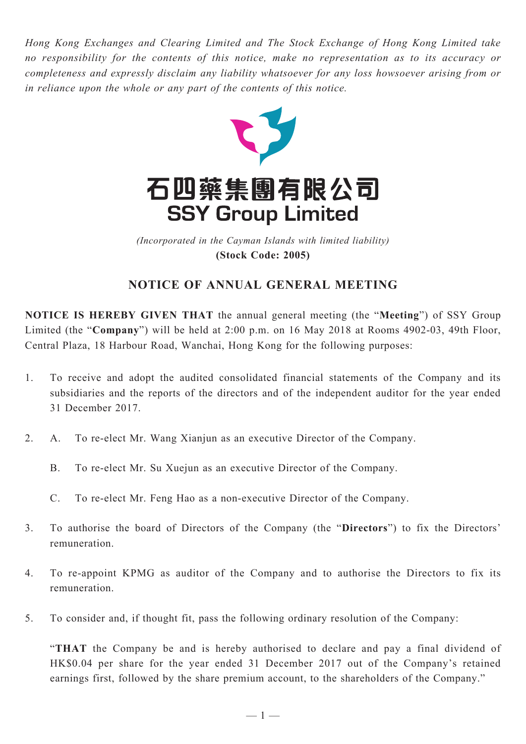*Hong Kong Exchanges and Clearing Limited and The Stock Exchange of Hong Kong Limited take no responsibility for the contents of this notice, make no representation as to its accuracy or completeness and expressly disclaim any liability whatsoever for any loss howsoever arising from or in reliance upon the whole or any part of the contents of this notice.*



(Incorporated in the Cayman Islands with limited liability) *(Incorporated in the Cayman Islands with limited liability)* **(Stock Code: 2005) (Stock Code: 2005)**

## **Notice of Annual General Meeting**

**NOTICE IS HEREBY GIVEN THAT** the annual general meeting (the "**Meeting**") of SSY Group Limited (the "**Company**") will be held at 2:00 p.m. on 16 May 2018 at Rooms 4902-03, 49th Floor, Central Plaza, 18 Harbour Road, Wanchai, Hong Kong for the following purposes:

- 1. To receive and adopt the audited consolidated financial statements of the Company and its subsidiaries and the reports of the directors and of the independent auditor for the year ended 31 December 2017.
- 2. A. To re-elect Mr. Wang Xianjun as an executive Director of the Company.
	- B. To re-elect Mr. Su Xuejun as an executive Director of the Company.
	- C. To re-elect Mr. Feng Hao as a non-executive Director of the Company.
- 3. To authorise the board of Directors of the Company (the "**Directors**") to fix the Directors' remuneration.
- 4. To re-appoint KPMG as auditor of the Company and to authorise the Directors to fix its remuneration.
- 5. To consider and, if thought fit, pass the following ordinary resolution of the Company:

"**THAT** the Company be and is hereby authorised to declare and pay a final dividend of HK\$0.04 per share for the year ended 31 December 2017 out of the Company's retained earnings first, followed by the share premium account, to the shareholders of the Company."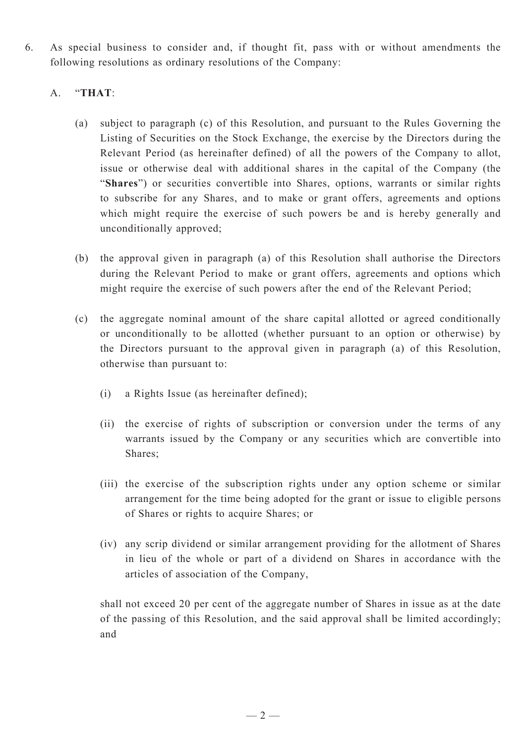6. As special business to consider and, if thought fit, pass with or without amendments the following resolutions as ordinary resolutions of the Company:

## A. "**THAT**:

- (a) subject to paragraph (c) of this Resolution, and pursuant to the Rules Governing the Listing of Securities on the Stock Exchange, the exercise by the Directors during the Relevant Period (as hereinafter defined) of all the powers of the Company to allot, issue or otherwise deal with additional shares in the capital of the Company (the "**Shares**") or securities convertible into Shares, options, warrants or similar rights to subscribe for any Shares, and to make or grant offers, agreements and options which might require the exercise of such powers be and is hereby generally and unconditionally approved;
- (b) the approval given in paragraph (a) of this Resolution shall authorise the Directors during the Relevant Period to make or grant offers, agreements and options which might require the exercise of such powers after the end of the Relevant Period;
- (c) the aggregate nominal amount of the share capital allotted or agreed conditionally or unconditionally to be allotted (whether pursuant to an option or otherwise) by the Directors pursuant to the approval given in paragraph (a) of this Resolution, otherwise than pursuant to:
	- (i) a Rights Issue (as hereinafter defined);
	- (ii) the exercise of rights of subscription or conversion under the terms of any warrants issued by the Company or any securities which are convertible into Shares;
	- (iii) the exercise of the subscription rights under any option scheme or similar arrangement for the time being adopted for the grant or issue to eligible persons of Shares or rights to acquire Shares; or
	- (iv) any scrip dividend or similar arrangement providing for the allotment of Shares in lieu of the whole or part of a dividend on Shares in accordance with the articles of association of the Company,

shall not exceed 20 per cent of the aggregate number of Shares in issue as at the date of the passing of this Resolution, and the said approval shall be limited accordingly; and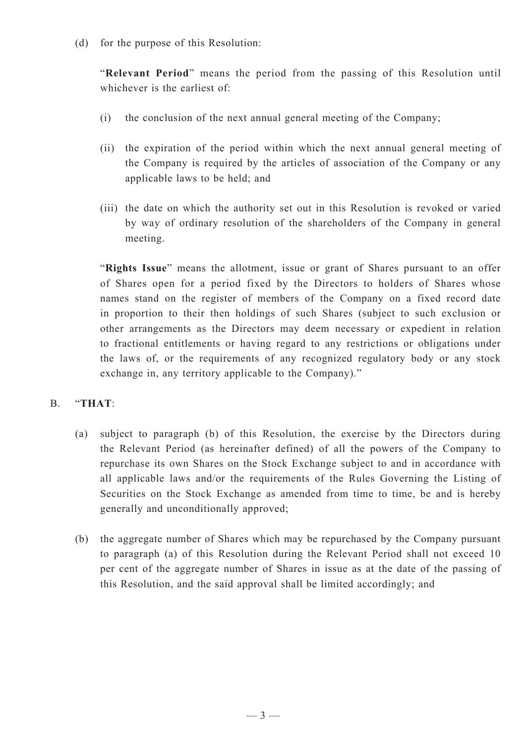(d) for the purpose of this Resolution:

"**Relevant Period**" means the period from the passing of this Resolution until whichever is the earliest of

- (i) the conclusion of the next annual general meeting of the Company;
- (ii) the expiration of the period within which the next annual general meeting of the Company is required by the articles of association of the Company or any applicable laws to be held; and
- (iii) the date on which the authority set out in this Resolution is revoked or varied by way of ordinary resolution of the shareholders of the Company in general meeting.

"**Rights Issue**" means the allotment, issue or grant of Shares pursuant to an offer of Shares open for a period fixed by the Directors to holders of Shares whose names stand on the register of members of the Company on a fixed record date in proportion to their then holdings of such Shares (subject to such exclusion or other arrangements as the Directors may deem necessary or expedient in relation to fractional entitlements or having regard to any restrictions or obligations under the laws of, or the requirements of any recognized regulatory body or any stock exchange in, any territory applicable to the Company)."

## B. "**THAT**:

- (a) subject to paragraph (b) of this Resolution, the exercise by the Directors during the Relevant Period (as hereinafter defined) of all the powers of the Company to repurchase its own Shares on the Stock Exchange subject to and in accordance with all applicable laws and/or the requirements of the Rules Governing the Listing of Securities on the Stock Exchange as amended from time to time, be and is hereby generally and unconditionally approved;
- (b) the aggregate number of Shares which may be repurchased by the Company pursuant to paragraph (a) of this Resolution during the Relevant Period shall not exceed 10 per cent of the aggregate number of Shares in issue as at the date of the passing of this Resolution, and the said approval shall be limited accordingly; and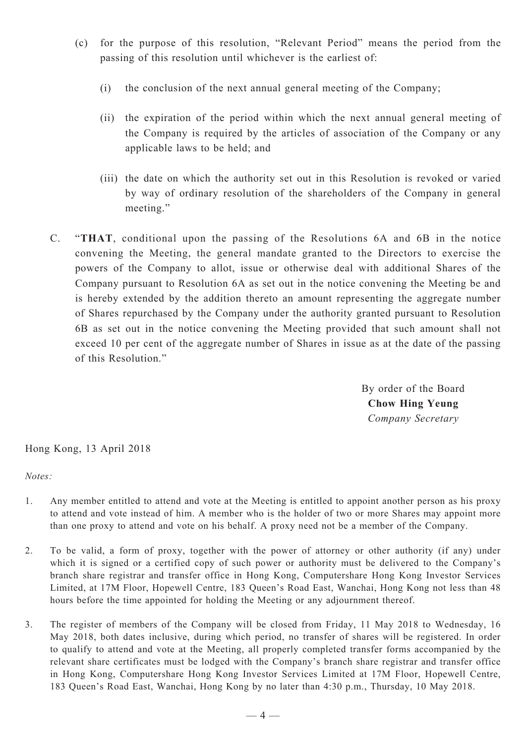- (c) for the purpose of this resolution, "Relevant Period" means the period from the passing of this resolution until whichever is the earliest of:
	- (i) the conclusion of the next annual general meeting of the Company;
	- (ii) the expiration of the period within which the next annual general meeting of the Company is required by the articles of association of the Company or any applicable laws to be held; and
	- (iii) the date on which the authority set out in this Resolution is revoked or varied by way of ordinary resolution of the shareholders of the Company in general meeting."
- C. "**THAT**, conditional upon the passing of the Resolutions 6A and 6B in the notice convening the Meeting, the general mandate granted to the Directors to exercise the powers of the Company to allot, issue or otherwise deal with additional Shares of the Company pursuant to Resolution 6A as set out in the notice convening the Meeting be and is hereby extended by the addition thereto an amount representing the aggregate number of Shares repurchased by the Company under the authority granted pursuant to Resolution 6B as set out in the notice convening the Meeting provided that such amount shall not exceed 10 per cent of the aggregate number of Shares in issue as at the date of the passing of this Resolution."

By order of the Board **Chow Hing Yeung** *Company Secretary*

Hong Kong, 13 April 2018

*Notes:*

- 1. Any member entitled to attend and vote at the Meeting is entitled to appoint another person as his proxy to attend and vote instead of him. A member who is the holder of two or more Shares may appoint more than one proxy to attend and vote on his behalf. A proxy need not be a member of the Company.
- 2. To be valid, a form of proxy, together with the power of attorney or other authority (if any) under which it is signed or a certified copy of such power or authority must be delivered to the Company's branch share registrar and transfer office in Hong Kong, Computershare Hong Kong Investor Services Limited, at 17M Floor, Hopewell Centre, 183 Queen's Road East, Wanchai, Hong Kong not less than 48 hours before the time appointed for holding the Meeting or any adjournment thereof.
- 3. The register of members of the Company will be closed from Friday, 11 May 2018 to Wednesday, 16 May 2018, both dates inclusive, during which period, no transfer of shares will be registered. In order to qualify to attend and vote at the Meeting, all properly completed transfer forms accompanied by the relevant share certificates must be lodged with the Company's branch share registrar and transfer office in Hong Kong, Computershare Hong Kong Investor Services Limited at 17M Floor, Hopewell Centre, 183 Queen's Road East, Wanchai, Hong Kong by no later than 4:30 p.m., Thursday, 10 May 2018.